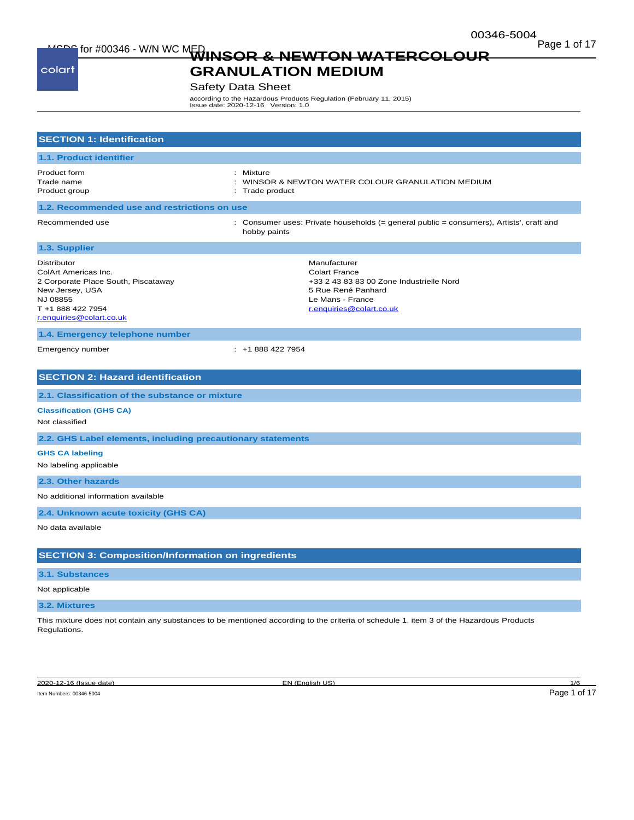Page 1 of 17<br>**WINSOR & NEWTON WATERCOLOUR** Page 1 of 17

colart

# **GRANULATION MEDIUM**

## Safety Data Sheet

according to the Hazardous Products Regulation (February 11, 2015) Issue date: 2020-12-16 Version: 1.0

| <b>SECTION 1: Identification</b>                                                                                                                                  |                                                                                                                                                        |
|-------------------------------------------------------------------------------------------------------------------------------------------------------------------|--------------------------------------------------------------------------------------------------------------------------------------------------------|
| 1.1. Product identifier                                                                                                                                           |                                                                                                                                                        |
| Product form<br>Trade name<br>Product group                                                                                                                       | : Mixture<br>: WINSOR & NEWTON WATER COLOUR GRANULATION MEDIUM<br>: Trade product                                                                      |
| 1.2. Recommended use and restrictions on use                                                                                                                      |                                                                                                                                                        |
| Recommended use                                                                                                                                                   | : Consumer uses: Private households (= general public = consumers), Artists', craft and<br>hobby paints                                                |
| 1.3. Supplier                                                                                                                                                     |                                                                                                                                                        |
| <b>Distributor</b><br>ColArt Americas Inc.<br>2 Corporate Place South, Piscataway<br>New Jersey, USA<br>NJ 08855<br>T +1 888 422 7954<br>r.enquiries@colart.co.uk | Manufacturer<br><b>Colart France</b><br>+33 2 43 83 83 00 Zone Industrielle Nord<br>5 Rue René Panhard<br>Le Mans - France<br>r.enquiries@colart.co.uk |
| 1.4. Emergency telephone number                                                                                                                                   |                                                                                                                                                        |
| Emergency number                                                                                                                                                  | $: +18884227954$                                                                                                                                       |
| <b>SECTION 2: Hazard identification</b>                                                                                                                           |                                                                                                                                                        |
| 2.1. Classification of the substance or mixture                                                                                                                   |                                                                                                                                                        |
| <b>Classification (GHS CA)</b><br>Not classified                                                                                                                  |                                                                                                                                                        |
| 2.2. GHS Label elements, including precautionary statements                                                                                                       |                                                                                                                                                        |
| <b>GHS CA labeling</b><br>No labeling applicable                                                                                                                  |                                                                                                                                                        |
| 2.3. Other hazards                                                                                                                                                |                                                                                                                                                        |
| No additional information available                                                                                                                               |                                                                                                                                                        |
| 2.4. Unknown acute toxicity (GHS CA)                                                                                                                              |                                                                                                                                                        |
| No data available                                                                                                                                                 |                                                                                                                                                        |
| <b>SECTION 3: Composition/Information on ingredients</b>                                                                                                          |                                                                                                                                                        |
| 3.1. Substances                                                                                                                                                   |                                                                                                                                                        |
| Not applicable                                                                                                                                                    |                                                                                                                                                        |
| 3.2. Mixtures                                                                                                                                                     |                                                                                                                                                        |
| Regulations.                                                                                                                                                      | This mixture does not contain any substances to be mentioned according to the criteria of schedule 1, item 3 of the Hazardous Products                 |

Item Numbers: 00346-5004 Page 1 of 17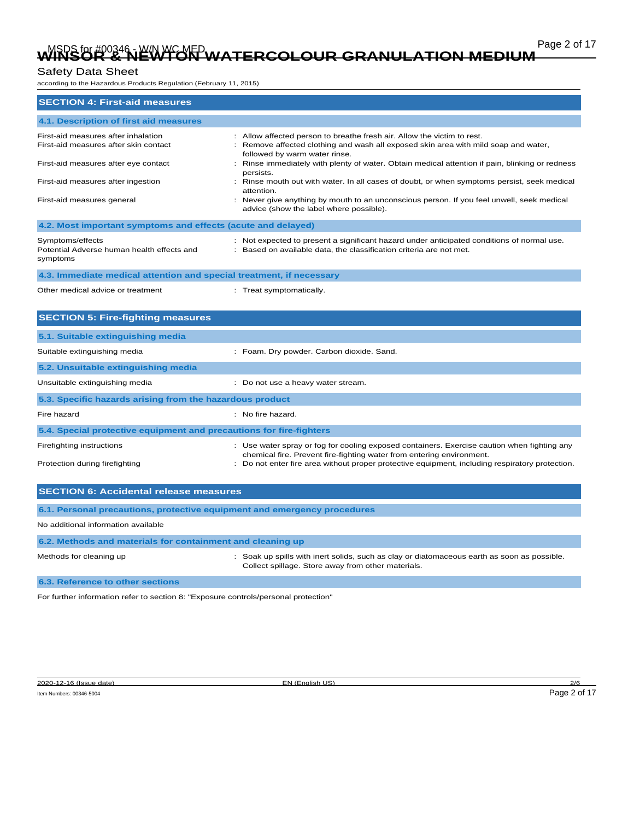# Page 2 of 17 Page 2 of 17 Page 2 of 17 Page 2 of 17 Page 2 of 17 Page 2 of 17 Page 2 of 17 Page 2 of 17 **WINSOR & NEWTON WATERCOLOUR GRANULATION MEDIUM**

# Safety Data Sheet

according to the Hazardous Products Regulation (February 11, 2015)

| <b>SECTION 4: First-aid measures</b>                                                                                 |                                                                                                                                                                                                                                                                                              |  |
|----------------------------------------------------------------------------------------------------------------------|----------------------------------------------------------------------------------------------------------------------------------------------------------------------------------------------------------------------------------------------------------------------------------------------|--|
| 4.1. Description of first aid measures                                                                               |                                                                                                                                                                                                                                                                                              |  |
| First-aid measures after inhalation<br>First-aid measures after skin contact<br>First-aid measures after eye contact | Allow affected person to breathe fresh air. Allow the victim to rest.<br>Remove affected clothing and wash all exposed skin area with mild soap and water,<br>followed by warm water rinse.<br>Rinse immediately with plenty of water. Obtain medical attention if pain, blinking or redness |  |
| First-aid measures after ingestion<br>First-aid measures general                                                     | persists.<br>Rinse mouth out with water. In all cases of doubt, or when symptoms persist, seek medical<br>attention.<br>Never give anything by mouth to an unconscious person. If you feel unwell, seek medical<br>advice (show the label where possible).                                   |  |
| 4.2. Most important symptoms and effects (acute and delayed)                                                         |                                                                                                                                                                                                                                                                                              |  |
| Symptoms/effects<br>Potential Adverse human health effects and<br>symptoms                                           | : Not expected to present a significant hazard under anticipated conditions of normal use.<br>: Based on available data, the classification criteria are not met.                                                                                                                            |  |
| 4.3. Immediate medical attention and special treatment, if necessary                                                 |                                                                                                                                                                                                                                                                                              |  |
| Other medical advice or treatment                                                                                    | : Treat symptomatically.                                                                                                                                                                                                                                                                     |  |
| <b>SECTION 5: Fire-fighting measures</b>                                                                             |                                                                                                                                                                                                                                                                                              |  |
| 5.1. Suitable extinguishing media                                                                                    |                                                                                                                                                                                                                                                                                              |  |
| Suitable extinguishing media                                                                                         | : Foam. Dry powder. Carbon dioxide. Sand.                                                                                                                                                                                                                                                    |  |
| 5.2. Unsuitable extinguishing media                                                                                  |                                                                                                                                                                                                                                                                                              |  |
| Unsuitable extinguishing media                                                                                       | : Do not use a heavy water stream.                                                                                                                                                                                                                                                           |  |
| 5.3. Specific hazards arising from the hazardous product                                                             |                                                                                                                                                                                                                                                                                              |  |
| Fire hazard                                                                                                          | : No fire hazard.                                                                                                                                                                                                                                                                            |  |
| 5.4. Special protective equipment and precautions for fire-fighters                                                  |                                                                                                                                                                                                                                                                                              |  |
| Firefighting instructions<br>Protection during firefighting                                                          | : Use water spray or fog for cooling exposed containers. Exercise caution when fighting any<br>chemical fire. Prevent fire-fighting water from entering environment.<br>Do not enter fire area without proper protective equipment, including respiratory protection.                        |  |
|                                                                                                                      |                                                                                                                                                                                                                                                                                              |  |
| <b>SECTION 6: Accidental release measures</b>                                                                        |                                                                                                                                                                                                                                                                                              |  |
| 6.1. Personal precautions, protective equipment and emergency procedures                                             |                                                                                                                                                                                                                                                                                              |  |
| No additional information available                                                                                  |                                                                                                                                                                                                                                                                                              |  |
| 6.2. Methods and materials for containment and cleaning up                                                           |                                                                                                                                                                                                                                                                                              |  |

Methods for cleaning up **interpret in the spills with inert solids**, such as clay or diatomaceous earth as soon as possible. Collect spillage. Store away from other materials.

**6.3. Reference to other sections**

For further information refer to section 8: "Exposure controls/personal protection"

2020-12-16 (Issue date) EN (English US) 2/6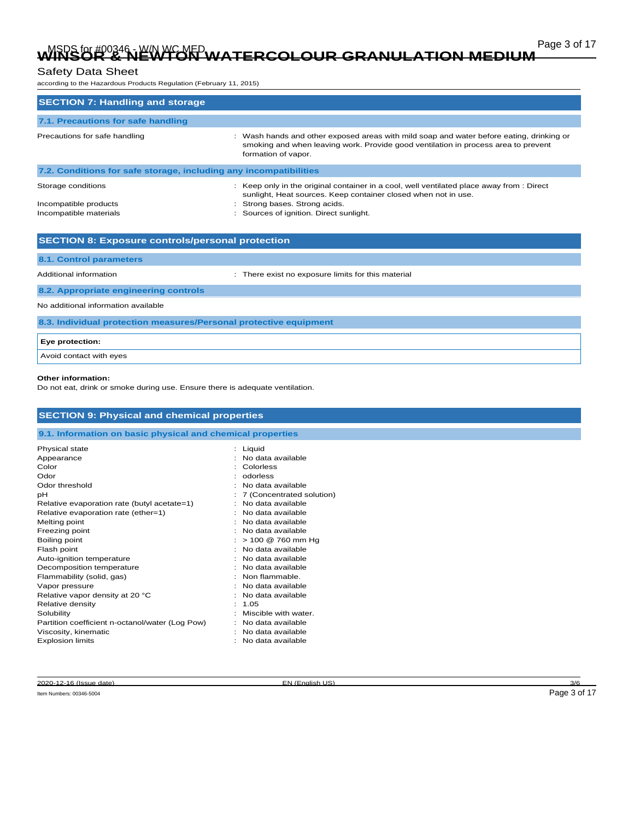# Page 3 of 17 Page 3 of 17<br>WINSOR & NEWTON WATERCOLOUR GRANULATION MEDIUM

## Safety Data Sheet

according to the Hazardous Products Regulation (February 11, 2015)

| <b>SECTION 7: Handling and storage</b>                                |                                                                                                                                                                                                                                     |  |  |  |
|-----------------------------------------------------------------------|-------------------------------------------------------------------------------------------------------------------------------------------------------------------------------------------------------------------------------------|--|--|--|
| 7.1. Precautions for safe handling                                    |                                                                                                                                                                                                                                     |  |  |  |
| Precautions for safe handling                                         | Wash hands and other exposed areas with mild soap and water before eating, drinking or<br>smoking and when leaving work. Provide good ventilation in process area to prevent<br>formation of vapor.                                 |  |  |  |
| 7.2. Conditions for safe storage, including any incompatibilities     |                                                                                                                                                                                                                                     |  |  |  |
| Storage conditions<br>Incompatible products<br>Incompatible materials | : Keep only in the original container in a cool, well ventilated place away from : Direct<br>sunlight, Heat sources. Keep container closed when not in use.<br>Strong bases. Strong acids.<br>Sources of ignition. Direct sunlight. |  |  |  |
| <b>SECTION 8: Exposure controls/personal protection</b>               |                                                                                                                                                                                                                                     |  |  |  |
| 8.1. Control parameters                                               |                                                                                                                                                                                                                                     |  |  |  |
| Additional information                                                | There exist no exposure limits for this material                                                                                                                                                                                    |  |  |  |
| 8.2. Appropriate engineering controls                                 |                                                                                                                                                                                                                                     |  |  |  |
| No additional information available                                   |                                                                                                                                                                                                                                     |  |  |  |
| 8.3. Individual protection measures/Personal protective equipment     |                                                                                                                                                                                                                                     |  |  |  |
| Eye protection:                                                       |                                                                                                                                                                                                                                     |  |  |  |
| Avoid contact with eyes                                               |                                                                                                                                                                                                                                     |  |  |  |

#### **Other information:**

Do not eat, drink or smoke during use. Ensure there is adequate ventilation.

| 9.1. Information on basic physical and chemical properties |          |                           |
|------------------------------------------------------------|----------|---------------------------|
| Physical state                                             | : Liquid |                           |
| Appearance                                                 |          | : No data available       |
| Color                                                      |          | Colorless                 |
| Odor                                                       | ۰.       | odorless                  |
| Odor threshold                                             |          | No data available         |
| рH                                                         |          | 7 (Concentrated solution) |
| Relative evaporation rate (butyl acetate=1)                |          | No data available         |
| Relative evaporation rate (ether=1)                        |          | : No data available       |
| Melting point                                              |          | No data available         |
| Freezing point                                             |          | No data available         |
| Boiling point                                              |          | > 100 @ 760 mm Hg         |
| Flash point                                                |          | No data available         |
| Auto-ignition temperature                                  |          | No data available         |
| Decomposition temperature                                  |          | : No data available       |
| Flammability (solid, gas)                                  |          | Non flammable.            |
| Vapor pressure                                             |          | No data available         |
| Relative vapor density at 20 °C                            |          | No data available         |
| Relative density                                           | 1.05     |                           |
| Solubility                                                 |          | Miscible with water.      |
| Partition coefficient n-octanol/water (Log Pow)            |          | No data available         |
| Viscosity, kinematic                                       |          | No data available         |
| <b>Explosion limits</b>                                    |          | No data available         |

2020-12-16 (Issue date) EN (English US) 3/6

Item Numbers: 00346-5004 Page 3 of 17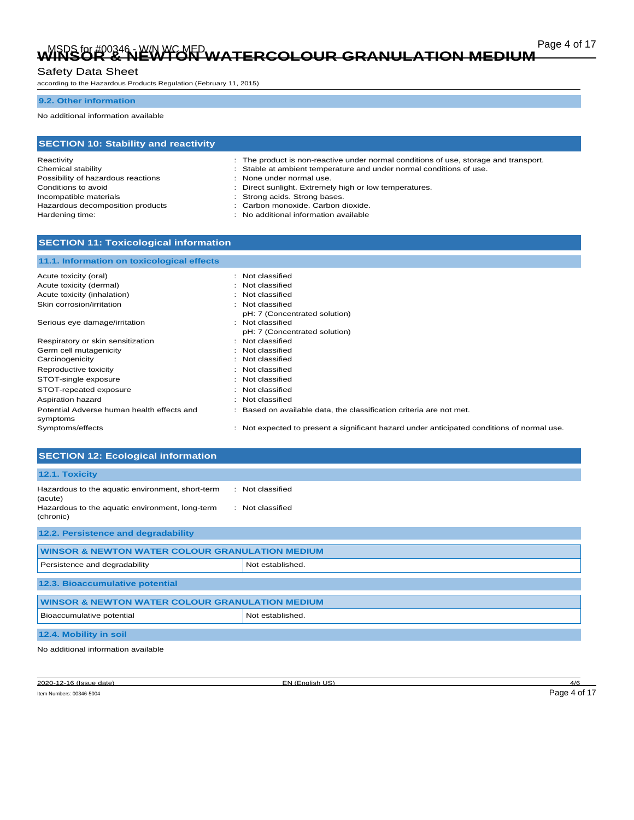# Page 4 of 17 Page 4 of 17 Page 4 of 17 Page 4 of 17 Page 4 of 17 Page 4 of 17 Page 4 of 17 Page 4 of 17 **WINSOR & NEWTON WATERCOLOUR GRANULATION MEDIUM**

# Safety Data Sheet

according to the Hazardous Products Regulation (February 11, 2015)

### **9.2. Other information**

No additional information available

| <b>SECTION 10: Stability and reactivity</b> |                                                                                      |  |
|---------------------------------------------|--------------------------------------------------------------------------------------|--|
| Reactivity                                  | : The product is non-reactive under normal conditions of use, storage and transport. |  |
| Chemical stability                          | : Stable at ambient temperature and under normal conditions of use.                  |  |
| Possibility of hazardous reactions          | : None under normal use.                                                             |  |
| Conditions to avoid                         | : Direct sunlight. Extremely high or low temperatures.                               |  |
| Incompatible materials                      | : Strong acids. Strong bases.                                                        |  |
| Hazardous decomposition products            | : Carbon monoxide. Carbon dioxide.                                                   |  |
| Hardening time:                             | : No additional information available                                                |  |

## **SECTION 11: Toxicological information**

| 11.1. Information on toxicological effects |                                                                                            |
|--------------------------------------------|--------------------------------------------------------------------------------------------|
| Acute toxicity (oral)                      | : Not classified                                                                           |
| Acute toxicity (dermal)                    | : Not classified                                                                           |
| Acute toxicity (inhalation)                | : Not classified                                                                           |
| Skin corrosion/irritation                  | : Not classified                                                                           |
| Serious eye damage/irritation              | pH: 7 (Concentrated solution)<br>: Not classified<br>pH: 7 (Concentrated solution)         |
| Respiratory or skin sensitization          | : Not classified                                                                           |
| Germ cell mutagenicity                     | : Not classified                                                                           |
| Carcinogenicity                            | : Not classified                                                                           |
| Reproductive toxicity                      | : Not classified                                                                           |
| STOT-single exposure                       | : Not classified                                                                           |
| STOT-repeated exposure                     | : Not classified                                                                           |
| Aspiration hazard                          | : Not classified                                                                           |
| Potential Adverse human health effects and | : Based on available data, the classification criteria are not met.                        |
| symptoms<br>Symptoms/effects               | : Not expected to present a significant hazard under anticipated conditions of normal use. |

| <b>SECTION 12: Ecological information</b>                                                                                   |                                      |  |
|-----------------------------------------------------------------------------------------------------------------------------|--------------------------------------|--|
| 12.1. Toxicity                                                                                                              |                                      |  |
| Hazardous to the aquatic environment, short-term<br>(acute)<br>Hazardous to the aquatic environment, long-term<br>(chronic) | : Not classified<br>: Not classified |  |
| 12.2. Persistence and degradability                                                                                         |                                      |  |
| <b>WINSOR &amp; NEWTON WATER COLOUR GRANULATION MEDIUM</b>                                                                  |                                      |  |
| Persistence and degradability                                                                                               | Not established.                     |  |
| 12.3. Bioaccumulative potential                                                                                             |                                      |  |
| <b>WINSOR &amp; NEWTON WATER COLOUR GRANULATION MEDIUM</b>                                                                  |                                      |  |
| Bioaccumulative potential                                                                                                   | Not established.                     |  |
| 12.4. Mobility in soil                                                                                                      |                                      |  |
| .                                                                                                                           |                                      |  |

No additional information available

Item Numbers: 00346-5004 Page 4 of 17

2020-12-16 (Issue date) EN (English US) 4/6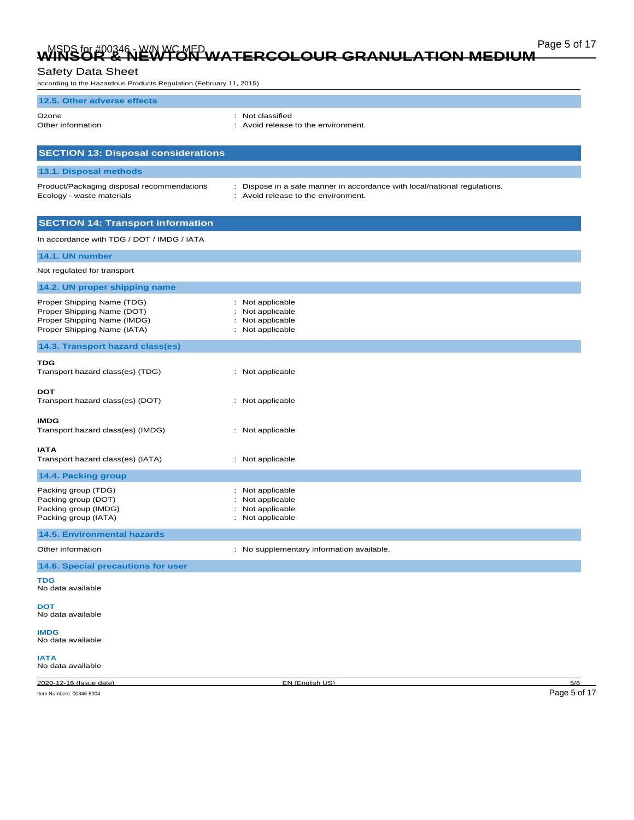# Page 5 of 17 Page 5 of 17<br>WINSOR & NEWTON WATERCOLOUR GRANULATION MEDIUM

## Safety Data Sheet

according to the Hazardous Products Regulation (February 11, 2015)

| 12.5. Other adverse effects                                                                                            |                                                                                                                  |              |
|------------------------------------------------------------------------------------------------------------------------|------------------------------------------------------------------------------------------------------------------|--------------|
| Ozone<br>Other information                                                                                             | Not classified<br>: Avoid release to the environment.                                                            |              |
| <b>SECTION 13: Disposal considerations</b>                                                                             |                                                                                                                  |              |
| 13.1. Disposal methods                                                                                                 |                                                                                                                  |              |
| Product/Packaging disposal recommendations<br>Ecology - waste materials                                                | : Dispose in a safe manner in accordance with local/national regulations.<br>: Avoid release to the environment. |              |
| <b>SECTION 14: Transport information</b>                                                                               |                                                                                                                  |              |
| In accordance with TDG / DOT / IMDG / IATA                                                                             |                                                                                                                  |              |
| 14.1. UN number                                                                                                        |                                                                                                                  |              |
| Not regulated for transport                                                                                            |                                                                                                                  |              |
| 14.2. UN proper shipping name                                                                                          |                                                                                                                  |              |
| Proper Shipping Name (TDG)<br>Proper Shipping Name (DOT)<br>Proper Shipping Name (IMDG)<br>Proper Shipping Name (IATA) | Not applicable<br>Not applicable<br>Not applicable<br>Not applicable                                             |              |
| 14.3. Transport hazard class(es)                                                                                       |                                                                                                                  |              |
| TDG<br>Transport hazard class(es) (TDG)                                                                                | : Not applicable                                                                                                 |              |
| <b>DOT</b><br>Transport hazard class(es) (DOT)                                                                         | : Not applicable                                                                                                 |              |
| <b>IMDG</b><br>Transport hazard class(es) (IMDG)                                                                       | : Not applicable                                                                                                 |              |
| <b>IATA</b><br>Transport hazard class(es) (IATA)                                                                       | : Not applicable                                                                                                 |              |
| 14.4. Packing group                                                                                                    |                                                                                                                  |              |
| Packing group (TDG)<br>Packing group (DOT)<br>Packing group (IMDG)<br>Packing group (IATA)                             | : Not applicable<br>Not applicable<br>Not applicable<br>Not applicable                                           |              |
| <b>14.5. Environmental hazards</b>                                                                                     |                                                                                                                  |              |
| Other information                                                                                                      | : No supplementary information available.                                                                        |              |
| 14.6. Special precautions for user                                                                                     |                                                                                                                  |              |
| TDG<br>No data available                                                                                               |                                                                                                                  |              |
| DOT<br>No data available                                                                                               |                                                                                                                  |              |
| <b>IMDG</b><br>No data available                                                                                       |                                                                                                                  |              |
| <b>IATA</b><br>No data available                                                                                       |                                                                                                                  |              |
| 2020-12-16 (Issue date)                                                                                                | EN (English US)                                                                                                  | 5/6          |
| Item Numbers: 00346-5004                                                                                               |                                                                                                                  | Page 5 of 17 |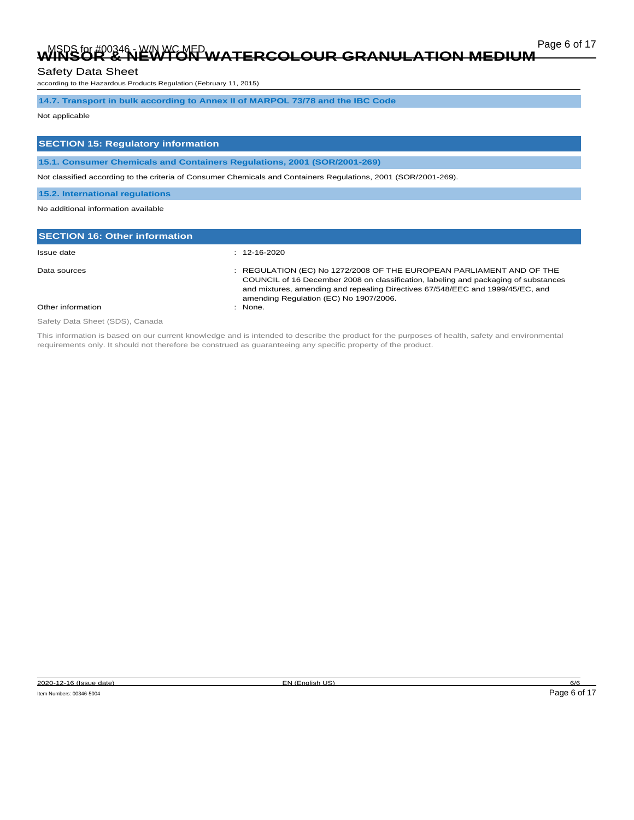# Page 6 of 17 Page 6 of 17<br>WINSOR & NEWTON WATERCOLOUR GRANULATION MEDIUM

### Safety Data Sheet

according to the Hazardous Products Regulation (February 11, 2015)

### **14.7. Transport in bulk according to Annex II of MARPOL 73/78 and the IBC Code**

## Not applicable

## **SECTION 15: Regulatory information**

**15.1. Consumer Chemicals and Containers Regulations, 2001 (SOR/2001-269)**

Not classified according to the criteria of Consumer Chemicals and Containers Regulations, 2001 (SOR/2001-269).

#### **15.2. International regulations**

#### No additional information available

| <b>SECTION 16: Other information</b> |                                                                                                                                                                                                                                                                                         |
|--------------------------------------|-----------------------------------------------------------------------------------------------------------------------------------------------------------------------------------------------------------------------------------------------------------------------------------------|
| Issue date                           | $: 12 - 16 - 2020$                                                                                                                                                                                                                                                                      |
| Data sources                         | : REGULATION (EC) No 1272/2008 OF THE EUROPEAN PARLIAMENT AND OF THE<br>COUNCIL of 16 December 2008 on classification, labeling and packaging of substances<br>and mixtures, amending and repealing Directives 67/548/EEC and 1999/45/EC, and<br>amending Regulation (EC) No 1907/2006. |
| Other information                    | $:$ None.                                                                                                                                                                                                                                                                               |

Safety Data Sheet (SDS), Canada

This information is based on our current knowledge and is intended to describe the product for the purposes of health, safety and environmental requirements only. It should not therefore be construed as guaranteeing any specific property of the product.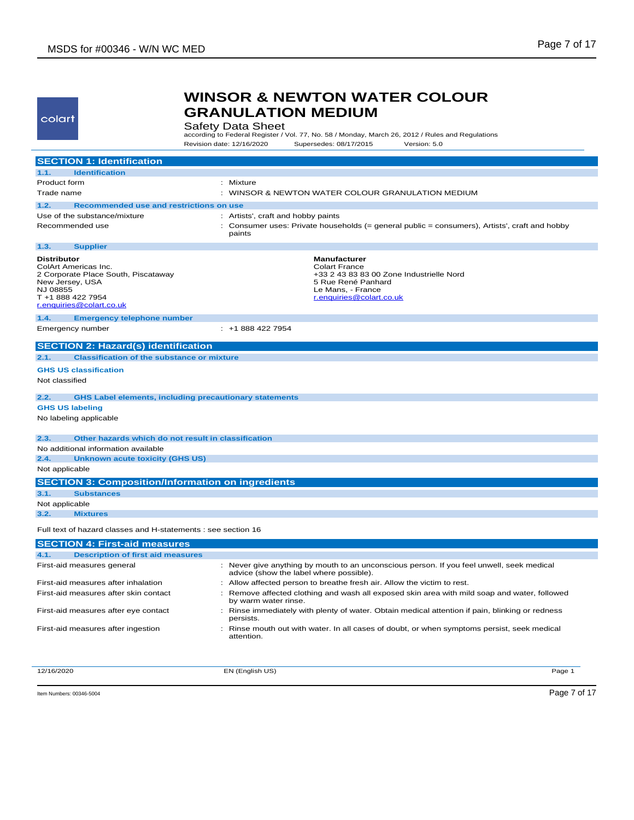colart

# **WINSOR & NEWTON WATER COLOUR GRANULATION MEDIUM**

Safety Data Sheet<br>according to Federal Register / Vol. 77, No. 58 / Monday, March 26, 2012 / Rules and Regulations Revision date: 12/16/2020 Supersedes: 08/17/2015 Version: 5.0

|                                                   | <b>SECTION 1: Identification</b>                                                                             |                                                                                                                                                                |
|---------------------------------------------------|--------------------------------------------------------------------------------------------------------------|----------------------------------------------------------------------------------------------------------------------------------------------------------------|
| 1.1.                                              | <b>Identification</b>                                                                                        |                                                                                                                                                                |
| Product form                                      |                                                                                                              | : Mixture                                                                                                                                                      |
| Trade name                                        |                                                                                                              | : WINSOR & NEWTON WATER COLOUR GRANULATION MEDIUM                                                                                                              |
| 1.2.                                              | Recommended use and restrictions on use                                                                      |                                                                                                                                                                |
|                                                   | Use of the substance/mixture                                                                                 | : Artists', craft and hobby paints                                                                                                                             |
|                                                   | Recommended use                                                                                              | : Consumer uses: Private households (= general public = consumers), Artists', craft and hobby<br>paints                                                        |
| 1.3.                                              | <b>Supplier</b>                                                                                              |                                                                                                                                                                |
| <b>Distributor</b><br>New Jersey, USA<br>NJ 08855 | ColArt Americas Inc.<br>2 Corporate Place South, Piscataway<br>T +1 888 422 7954<br>r.enquiries@colart.co.uk | <b>Manufacturer</b><br><b>Colart France</b><br>+33 2 43 83 83 00 Zone Industrielle Nord<br>5 Rue René Panhard<br>Le Mans, - France<br>r.enquiries@colart.co.uk |
| 1.4.                                              | <b>Emergency telephone number</b>                                                                            |                                                                                                                                                                |
|                                                   | Emergency number                                                                                             | $: +18884227954$                                                                                                                                               |
|                                                   | <b>SECTION 2: Hazard(s) identification</b>                                                                   |                                                                                                                                                                |
| 2.1.                                              | <b>Classification of the substance or mixture</b>                                                            |                                                                                                                                                                |
|                                                   | <b>GHS US classification</b>                                                                                 |                                                                                                                                                                |
| Not classified                                    |                                                                                                              |                                                                                                                                                                |
|                                                   |                                                                                                              |                                                                                                                                                                |
| 2.2.                                              | <b>GHS Label elements, including precautionary statements</b>                                                |                                                                                                                                                                |
| <b>GHS US labeling</b>                            |                                                                                                              |                                                                                                                                                                |
|                                                   | No labeling applicable                                                                                       |                                                                                                                                                                |
| 2.3.                                              | Other hazards which do not result in classification                                                          |                                                                                                                                                                |
|                                                   | No additional information available                                                                          |                                                                                                                                                                |
| 2.4.                                              | <b>Unknown acute toxicity (GHS US)</b>                                                                       |                                                                                                                                                                |
| Not applicable                                    |                                                                                                              |                                                                                                                                                                |
|                                                   | <b>SECTION 3: Composition/Information on ingredients</b>                                                     |                                                                                                                                                                |
| 3.1.                                              | <b>Substances</b>                                                                                            |                                                                                                                                                                |
| Not applicable                                    |                                                                                                              |                                                                                                                                                                |
| 3.2.                                              | <b>Mixtures</b>                                                                                              |                                                                                                                                                                |
|                                                   | Full text of hazard classes and H-statements : see section 16                                                |                                                                                                                                                                |
|                                                   | <b>SECTION 4: First-aid measures</b>                                                                         |                                                                                                                                                                |
| 4.1.                                              | <b>Description of first aid measures</b>                                                                     |                                                                                                                                                                |
|                                                   | First-aid measures general                                                                                   | : Never give anything by mouth to an unconscious person. If you feel unwell, seek medical<br>advice (show the label where possible).                           |
|                                                   | First-aid measures after inhalation                                                                          | Allow affected person to breathe fresh air. Allow the victim to rest.<br>÷.                                                                                    |
|                                                   | First-aid measures after skin contact                                                                        | : Remove affected clothing and wash all exposed skin area with mild soap and water, followed<br>by warm water rinse.                                           |
|                                                   | First-aid measures after eye contact                                                                         | Rinse immediately with plenty of water. Obtain medical attention if pain, blinking or redness<br>÷<br>persists.                                                |
|                                                   | First-aid measures after ingestion                                                                           | : Rinse mouth out with water. In all cases of doubt, or when symptoms persist, seek medical<br>attention.                                                      |
|                                                   |                                                                                                              |                                                                                                                                                                |

12/16/2020 EN (English US) Page 1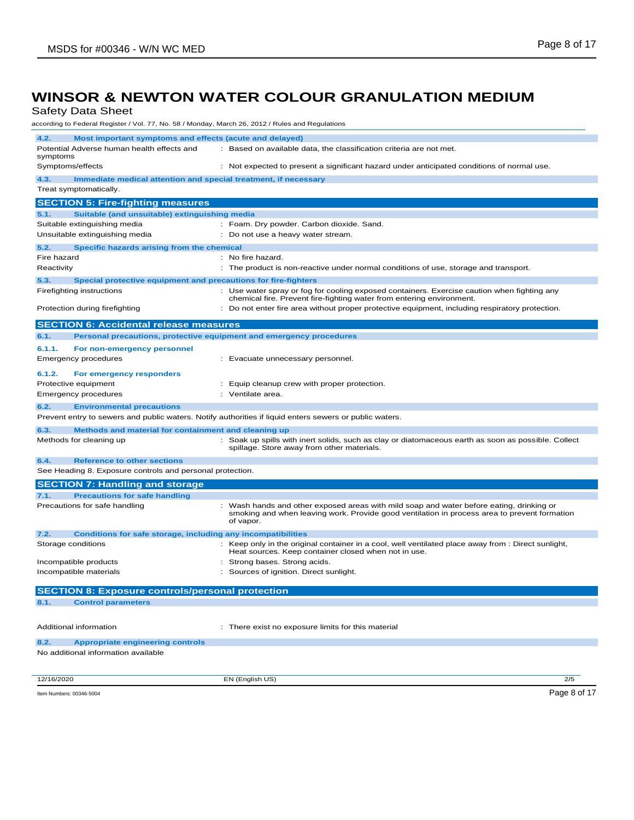Safety Data Sheet

according to Federal Register / Vol. 77, No. 58 / Monday, March 26, 2012 / Rules and Regulations

| according to Fodclar Register / Vol. 77, No. 00 / Monday, March 20, 2012 / Raico and Regulatio |                                                                                                                                                                                                       |
|------------------------------------------------------------------------------------------------|-------------------------------------------------------------------------------------------------------------------------------------------------------------------------------------------------------|
| 4.2.<br>Most important symptoms and effects (acute and delayed)                                |                                                                                                                                                                                                       |
| Potential Adverse human health effects and                                                     | : Based on available data, the classification criteria are not met.                                                                                                                                   |
| symptoms                                                                                       |                                                                                                                                                                                                       |
| Symptoms/effects                                                                               | : Not expected to present a significant hazard under anticipated conditions of normal use.                                                                                                            |
| 4.3.<br>Immediate medical attention and special treatment, if necessary                        |                                                                                                                                                                                                       |
| Treat symptomatically.                                                                         |                                                                                                                                                                                                       |
| <b>SECTION 5: Fire-fighting measures</b>                                                       |                                                                                                                                                                                                       |
| 5.1.<br>Suitable (and unsuitable) extinguishing media                                          |                                                                                                                                                                                                       |
| Suitable extinguishing media                                                                   | : Foam. Dry powder. Carbon dioxide. Sand.                                                                                                                                                             |
| Unsuitable extinguishing media                                                                 | : Do not use a heavy water stream.                                                                                                                                                                    |
| 5.2.<br>Specific hazards arising from the chemical                                             |                                                                                                                                                                                                       |
| Fire hazard                                                                                    | : No fire hazard.                                                                                                                                                                                     |
| Reactivity                                                                                     | : The product is non-reactive under normal conditions of use, storage and transport.                                                                                                                  |
| 5.3.<br>Special protective equipment and precautions for fire-fighters                         |                                                                                                                                                                                                       |
| Firefighting instructions                                                                      | : Use water spray or fog for cooling exposed containers. Exercise caution when fighting any<br>chemical fire. Prevent fire-fighting water from entering environment.                                  |
| Protection during firefighting                                                                 | : Do not enter fire area without proper protective equipment, including respiratory protection.                                                                                                       |
| <b>SECTION 6: Accidental release measures</b>                                                  |                                                                                                                                                                                                       |
| 6.1.                                                                                           | Personal precautions, protective equipment and emergency procedures                                                                                                                                   |
| 6.1.1.<br>For non-emergency personnel                                                          |                                                                                                                                                                                                       |
| <b>Emergency procedures</b>                                                                    | : Evacuate unnecessary personnel.                                                                                                                                                                     |
|                                                                                                |                                                                                                                                                                                                       |
| 6.1.2.<br>For emergency responders                                                             |                                                                                                                                                                                                       |
| Protective equipment                                                                           | : Equip cleanup crew with proper protection.<br>: Ventilate area.                                                                                                                                     |
| Emergency procedures                                                                           |                                                                                                                                                                                                       |
| 6.2.<br><b>Environmental precautions</b>                                                       |                                                                                                                                                                                                       |
|                                                                                                | Prevent entry to sewers and public waters. Notify authorities if liquid enters sewers or public waters.                                                                                               |
| 6.3.<br>Methods and material for containment and cleaning up                                   |                                                                                                                                                                                                       |
| Methods for cleaning up                                                                        | : Soak up spills with inert solids, such as clay or diatomaceous earth as soon as possible. Collect<br>spillage. Store away from other materials.                                                     |
| 6.4.<br><b>Reference to other sections</b>                                                     |                                                                                                                                                                                                       |
| See Heading 8. Exposure controls and personal protection.                                      |                                                                                                                                                                                                       |
| <b>SECTION 7: Handling and storage</b>                                                         |                                                                                                                                                                                                       |
| 7.1.<br><b>Precautions for safe handling</b>                                                   |                                                                                                                                                                                                       |
| Precautions for safe handling                                                                  | : Wash hands and other exposed areas with mild soap and water before eating, drinking or<br>smoking and when leaving work. Provide good ventilation in process area to prevent formation<br>of vapor. |
| 7.2.<br><b>Conditions for safe storage, including any incompatibilities</b>                    |                                                                                                                                                                                                       |
| Storage conditions                                                                             | : Keep only in the original container in a cool, well ventilated place away from : Direct sunlight,<br>Heat sources. Keep container closed when not in use.                                           |
| Incompatible products                                                                          | Strong bases. Strong acids.                                                                                                                                                                           |
| Incompatible materials                                                                         | Sources of ignition. Direct sunlight.                                                                                                                                                                 |
| <b>SECTION 8: Exposure controls/personal protection</b>                                        |                                                                                                                                                                                                       |
| 8.1.<br><b>Control parameters</b>                                                              |                                                                                                                                                                                                       |
|                                                                                                |                                                                                                                                                                                                       |
| Additional information                                                                         | : There exist no exposure limits for this material                                                                                                                                                    |
| 8.2.<br><b>Appropriate engineering controls</b>                                                |                                                                                                                                                                                                       |
| No additional information available                                                            |                                                                                                                                                                                                       |
|                                                                                                |                                                                                                                                                                                                       |
| 12/16/2020                                                                                     | EN (English US)<br>2/5                                                                                                                                                                                |
| Item Numbers: 00346-5004                                                                       | Page 8 of 17                                                                                                                                                                                          |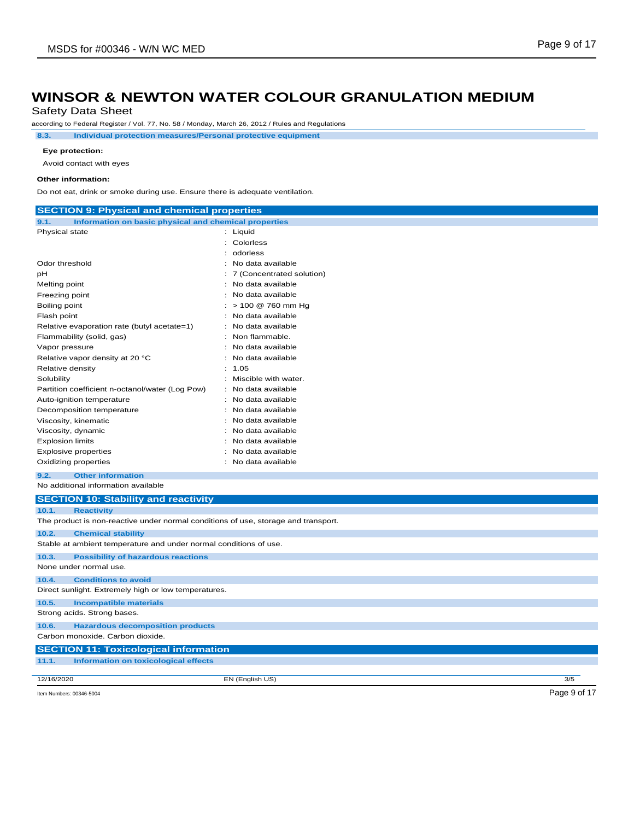Safety Data Sheet

according to Federal Register / Vol. 77, No. 58 / Monday, March 26, 2012 / Rules and Regulations

**8.3. Individual protection measures/Personal protective equipment**

#### **Eye protection:**

Avoid contact with eyes

#### **Other information:**

Do not eat, drink or smoke during use. Ensure there is adequate ventilation.

| <b>SECTION 9: Physical and chemical properties</b>                                 |                                          |              |
|------------------------------------------------------------------------------------|------------------------------------------|--------------|
| Information on basic physical and chemical properties<br>9.1.                      |                                          |              |
| Physical state                                                                     | : Liquid                                 |              |
|                                                                                    | : Colorless                              |              |
|                                                                                    | : odorless                               |              |
| Odor threshold                                                                     | : No data available                      |              |
| рH                                                                                 | 7 (Concentrated solution)                |              |
| Melting point                                                                      | No data available                        |              |
| Freezing point                                                                     | No data available                        |              |
| Boiling point                                                                      | $:$ > 100 @ 760 mm Hg                    |              |
| Flash point                                                                        | No data available                        |              |
| Relative evaporation rate (butyl acetate=1)                                        | No data available                        |              |
| Flammability (solid, gas)                                                          | Non flammable.                           |              |
| Vapor pressure                                                                     | No data available                        |              |
| Relative vapor density at 20 °C                                                    | No data available                        |              |
| Relative density                                                                   | 1.05                                     |              |
| Solubility                                                                         | : Miscible with water.                   |              |
| Partition coefficient n-octanol/water (Log Pow)                                    | : No data available                      |              |
| Auto-ignition temperature                                                          | No data available<br>÷.                  |              |
| Decomposition temperature                                                          | No data available                        |              |
| Viscosity, kinematic                                                               | No data available<br>: No data available |              |
| Viscosity, dynamic                                                                 | No data available                        |              |
| <b>Explosion limits</b>                                                            | : No data available                      |              |
| <b>Explosive properties</b><br>Oxidizing properties                                | : No data available                      |              |
|                                                                                    |                                          |              |
| <b>Other information</b><br>9.2.                                                   |                                          |              |
| No additional information available                                                |                                          |              |
| <b>SECTION 10: Stability and reactivity</b>                                        |                                          |              |
| 10.1.<br><b>Reactivity</b>                                                         |                                          |              |
| The product is non-reactive under normal conditions of use, storage and transport. |                                          |              |
| 10.2.<br><b>Chemical stability</b>                                                 |                                          |              |
| Stable at ambient temperature and under normal conditions of use.                  |                                          |              |
| <b>Possibility of hazardous reactions</b><br>10.3.                                 |                                          |              |
| None under normal use.                                                             |                                          |              |
| 10.4.<br><b>Conditions to avoid</b>                                                |                                          |              |
| Direct sunlight. Extremely high or low temperatures.                               |                                          |              |
| 10.5.<br><b>Incompatible materials</b>                                             |                                          |              |
| Strong acids. Strong bases.                                                        |                                          |              |
|                                                                                    |                                          |              |
| 10.6.<br><b>Hazardous decomposition products</b>                                   |                                          |              |
| Carbon monoxide. Carbon dioxide.                                                   |                                          |              |
| <b>SECTION 11: Toxicological information</b>                                       |                                          |              |
| 11.1.<br><b>Information on toxicological effects</b>                               |                                          |              |
| 12/16/2020                                                                         | EN (English US)                          | 3/5          |
|                                                                                    |                                          |              |
| Item Numbers: 00346-5004                                                           |                                          | Page 9 of 17 |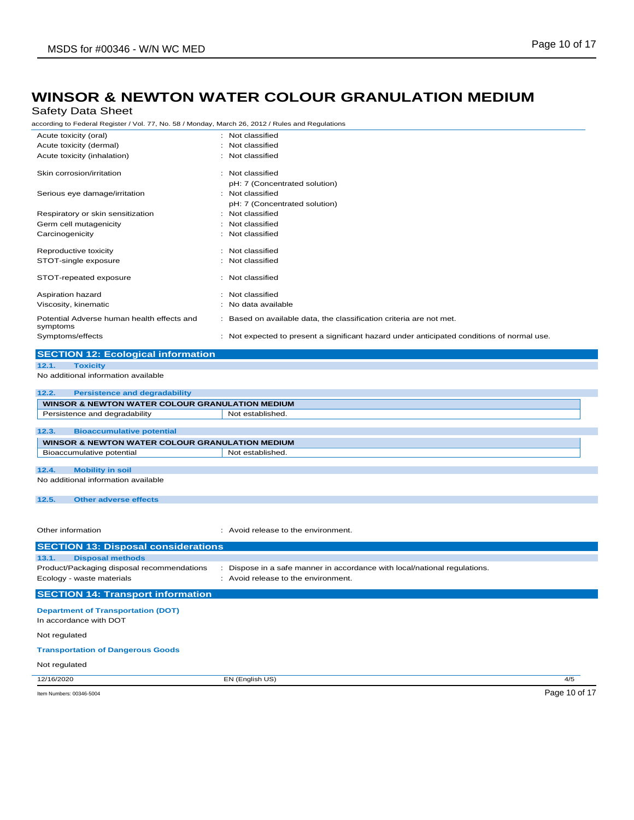## Safety Data Sheet

according to Federal Register / Vol. 77, No. 58 / Monday, March 26, 2012 / Rules and Regulations

| Acute toxicity (oral)                                       | : Not classified                                                                           |  |
|-------------------------------------------------------------|--------------------------------------------------------------------------------------------|--|
| Acute toxicity (dermal)                                     | : Not classified                                                                           |  |
| Acute toxicity (inhalation)                                 | : Not classified                                                                           |  |
|                                                             |                                                                                            |  |
| Skin corrosion/irritation                                   | : Not classified                                                                           |  |
|                                                             | pH: 7 (Concentrated solution)                                                              |  |
| Serious eye damage/irritation                               | : Not classified                                                                           |  |
|                                                             | pH: 7 (Concentrated solution)<br>: Not classified                                          |  |
| Respiratory or skin sensitization<br>Germ cell mutagenicity | : Not classified                                                                           |  |
|                                                             |                                                                                            |  |
| Carcinogenicity                                             | : Not classified                                                                           |  |
| Reproductive toxicity                                       | : Not classified                                                                           |  |
| STOT-single exposure                                        | : Not classified                                                                           |  |
|                                                             |                                                                                            |  |
| STOT-repeated exposure                                      | : Not classified                                                                           |  |
| Aspiration hazard                                           | : Not classified                                                                           |  |
| Viscosity, kinematic                                        | : No data available                                                                        |  |
|                                                             |                                                                                            |  |
| Potential Adverse human health effects and                  | : Based on available data, the classification criteria are not met.                        |  |
| symptoms<br>Symptoms/effects                                |                                                                                            |  |
|                                                             | : Not expected to present a significant hazard under anticipated conditions of normal use. |  |
| <b>SECTION 12: Ecological information</b>                   |                                                                                            |  |
| <b>Toxicity</b><br>12.1.                                    |                                                                                            |  |
| No additional information available                         |                                                                                            |  |
|                                                             |                                                                                            |  |
| <b>Persistence and degradability</b><br>12.2.               |                                                                                            |  |
| <b>WINSOR &amp; NEWTON WATER COLOUR GRANULATION MEDIUM</b>  |                                                                                            |  |
| Persistence and degradability                               | Not established.                                                                           |  |
| 12.3.<br><b>Bioaccumulative potential</b>                   |                                                                                            |  |
| WINSOR & NEWTON WATER COLOUR GRANULATION MEDIUM             |                                                                                            |  |
| Bioaccumulative potential                                   | Not established.                                                                           |  |
|                                                             |                                                                                            |  |
| 12.4.<br><b>Mobility in soil</b>                            |                                                                                            |  |
| No additional information available                         |                                                                                            |  |
|                                                             |                                                                                            |  |
| 12.5.<br><b>Other adverse effects</b>                       |                                                                                            |  |
|                                                             |                                                                                            |  |
|                                                             |                                                                                            |  |
| Other information                                           | : Avoid release to the environment.                                                        |  |
| <b>SECTION 13: Disposal considerations</b>                  |                                                                                            |  |
| <b>Disposal methods</b><br>13.1.                            |                                                                                            |  |
| Product/Packaging disposal recommendations                  |                                                                                            |  |
|                                                             | : Dispose in a safe manner in accordance with local/national regulations.                  |  |
| Ecology - waste materials                                   | : Avoid release to the environment.                                                        |  |

## **SECTION 14: Transport information**

**Department of Transportation (DOT)**

In accordance with DOT

Not regulated

#### **Transportation of Dangerous Goods**

Not regulated

12/16/2020 EN (English US) 4/5

Item Numbers: 00346-5004 Page 10 of 17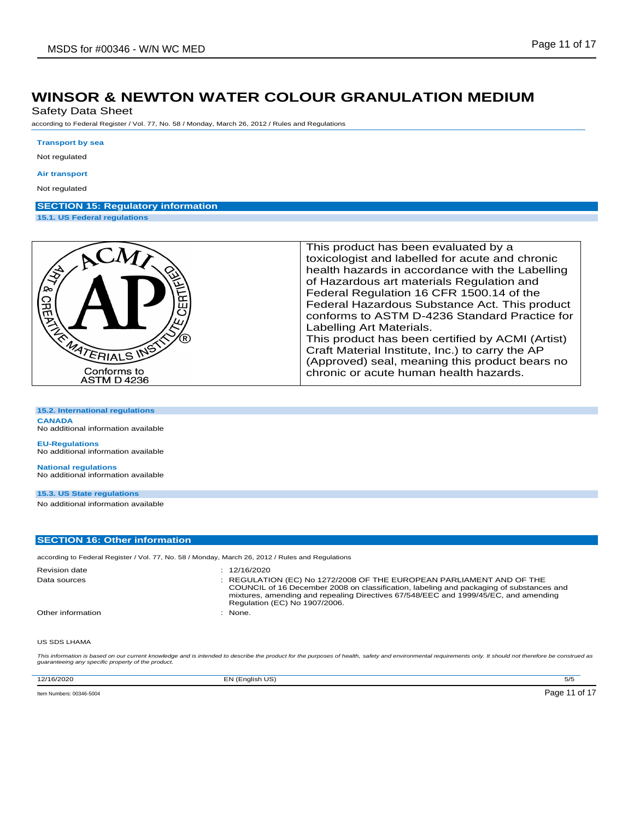Safety Data Sheet

according to Federal Register / Vol. 77, No. 58 / Monday, March 26, 2012 / Rules and Regulations

#### **Transport by sea**

Not regulated

#### **Air transport**

Not regulated

# **SECTION 15: Regulatory information**

**15.1. US Federal regulations**

| <b>RIVER</b><br>ERT<br><b>CREP</b><br>MATERIALS INS<br>Conforms to<br><b>ASTM D 4236</b> | This product has been evaluated by a<br>toxicologist and labelled for acute and chronic<br>health hazards in accordance with the Labelling<br>of Hazardous art materials Regulation and<br>Federal Regulation 16 CFR 1500.14 of the<br>Federal Hazardous Substance Act. This product<br>conforms to ASTM D-4236 Standard Practice for<br>Labelling Art Materials.<br>This product has been certified by ACMI (Artist)<br>Craft Material Institute, Inc.) to carry the AP<br>(Approved) seal, meaning this product bears no<br>chronic or acute human health hazards. |
|------------------------------------------------------------------------------------------|----------------------------------------------------------------------------------------------------------------------------------------------------------------------------------------------------------------------------------------------------------------------------------------------------------------------------------------------------------------------------------------------------------------------------------------------------------------------------------------------------------------------------------------------------------------------|
|------------------------------------------------------------------------------------------|----------------------------------------------------------------------------------------------------------------------------------------------------------------------------------------------------------------------------------------------------------------------------------------------------------------------------------------------------------------------------------------------------------------------------------------------------------------------------------------------------------------------------------------------------------------------|

**15.2. International regulations**

**CANADA** No additional information available

**EU-Regulations** No additional information available

**National regulations** No additional information available

### **15.3. US State regulations**

No additional information available

### **SECTION 16: Other information**

according to Federal Register / Vol. 77, No. 58 / Monday, March 26, 2012 / Rules and Regulations

| <b>Revision date</b> | : 12/16/2020                                                                                                                                                                                                                                                                            |
|----------------------|-----------------------------------------------------------------------------------------------------------------------------------------------------------------------------------------------------------------------------------------------------------------------------------------|
| Data sources         | : REGULATION (EC) No 1272/2008 OF THE EUROPEAN PARLIAMENT AND OF THE<br>COUNCIL of 16 December 2008 on classification, labeling and packaging of substances and<br>mixtures, amending and repealing Directives 67/548/EEC and 1999/45/EC, and amending<br>Regulation (EC) No 1907/2006. |
| Other information    | None.                                                                                                                                                                                                                                                                                   |

### US SDS LHAMA

This information is based on our current knowledge and is intended to describe the product for the purposes of health, safety and environmental requirements only. It should not therefore be construed as<br>guaranteeing any sp

| 12/16/2020               | <b>J</b> (English US)<br>. | 5/5                             |
|--------------------------|----------------------------|---------------------------------|
| Item Numbers: 00346-5004 |                            | .0547<br>Page<br>$\cdot$<br>ـ ت |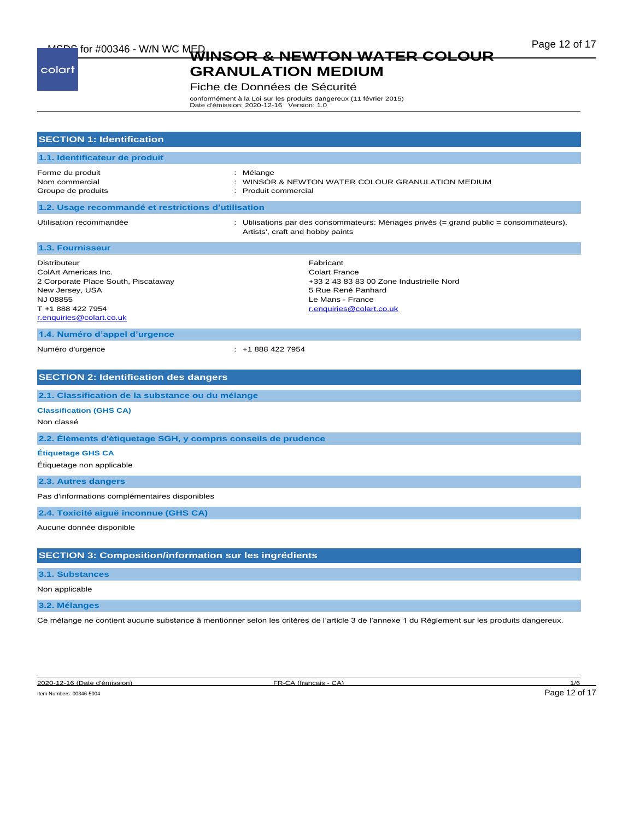# MSDC for #00346 - W/N WC MED<br>WINSOR & NEWTON WATER COLOUR **Page 12 of 17**

#### colart

# **GRANULATION MEDIUM** Fiche de Données de Sécurité

conformément à la Loi sur les produits dangereux (11 février 2015) Date d'émission: 2020-12-16 Version: 1.0

| <b>SECTION 1: Identification</b>                                                                                                                                   |                                                                                                                                                     |  |
|--------------------------------------------------------------------------------------------------------------------------------------------------------------------|-----------------------------------------------------------------------------------------------------------------------------------------------------|--|
| 1.1. Identificateur de produit                                                                                                                                     |                                                                                                                                                     |  |
| Forme du produit<br>Nom commercial<br>Groupe de produits                                                                                                           | : Mélange<br>: WINSOR & NEWTON WATER COLOUR GRANULATION MEDIUM<br>: Produit commercial                                                              |  |
| 1.2. Usage recommandé et restrictions d'utilisation                                                                                                                |                                                                                                                                                     |  |
| Utilisation recommandée                                                                                                                                            | : Utilisations par des consommateurs: Ménages privés (= grand public = consommateurs),<br>Artists', craft and hobby paints                          |  |
| 1.3. Fournisseur                                                                                                                                                   |                                                                                                                                                     |  |
| <b>Distributeur</b><br>ColArt Americas Inc.<br>2 Corporate Place South, Piscataway<br>New Jersey, USA<br>NJ 08855<br>T +1 888 422 7954<br>r.enquiries@colart.co.uk | Fabricant<br><b>Colart France</b><br>+33 2 43 83 83 00 Zone Industrielle Nord<br>5 Rue René Panhard<br>Le Mans - France<br>r.enquiries@colart.co.uk |  |
| 1.4. Numéro d'appel d'urgence                                                                                                                                      |                                                                                                                                                     |  |
| Numéro d'urgence                                                                                                                                                   | $: +18884227954$                                                                                                                                    |  |
|                                                                                                                                                                    |                                                                                                                                                     |  |
| <b>SECTION 2: Identification des dangers</b>                                                                                                                       |                                                                                                                                                     |  |
| 2.1. Classification de la substance ou du mélange                                                                                                                  |                                                                                                                                                     |  |
| <b>Classification (GHS CA)</b><br>Non classé                                                                                                                       |                                                                                                                                                     |  |
| 2.2. Éléments d'étiquetage SGH, y compris conseils de prudence                                                                                                     |                                                                                                                                                     |  |
| <b>Étiquetage GHS CA</b>                                                                                                                                           |                                                                                                                                                     |  |
| Étiquetage non applicable                                                                                                                                          |                                                                                                                                                     |  |
| 2.3. Autres dangers                                                                                                                                                |                                                                                                                                                     |  |
| Pas d'informations complémentaires disponibles                                                                                                                     |                                                                                                                                                     |  |
| 2.4. Toxicité aiguë inconnue (GHS CA)                                                                                                                              |                                                                                                                                                     |  |
| Aucune donnée disponible                                                                                                                                           |                                                                                                                                                     |  |
|                                                                                                                                                                    |                                                                                                                                                     |  |
| <b>SECTION 3: Composition/information sur les ingrédients</b>                                                                                                      |                                                                                                                                                     |  |
| 3.1. Substances                                                                                                                                                    |                                                                                                                                                     |  |
| Non applicable                                                                                                                                                     |                                                                                                                                                     |  |
| 3.2. Mélanges                                                                                                                                                      |                                                                                                                                                     |  |

Ce mélange ne contient aucune substance à mentionner selon les critères de l'article 3 de l'annexe 1 du Règlement sur les produits dangereux.

2020-12-16 (Date d'émission) FR-CA (français - CA) 1/6

Item Numbers: 00346-5004 Page 12 of 17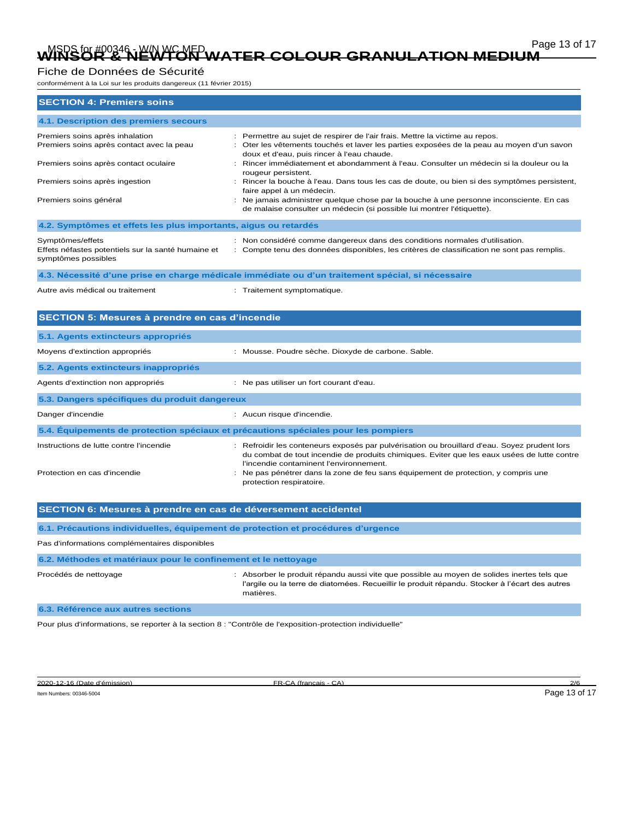# Page 13 of 17 Page 13 of 17<br>WINSOR & NEWTON WATER COLOUR GRANULATION MEDIUM

## Fiche de Données de Sécurité

conformément à la Loi sur les produits dangereux (11 février 2015)

| <b>SECTION 4: Premiers soins</b>                                                              |                                                                                                                                                                                                                                        |
|-----------------------------------------------------------------------------------------------|----------------------------------------------------------------------------------------------------------------------------------------------------------------------------------------------------------------------------------------|
| 4.1. Description des premiers secours                                                         |                                                                                                                                                                                                                                        |
| Premiers soins après inhalation<br>Premiers soins après contact avec la peau                  | : Permettre au sujet de respirer de l'air frais. Mettre la victime au repos.<br>Oter les vêtements touchés et laver les parties exposées de la peau au moyen d'un savon<br>÷<br>doux et d'eau, puis rincer à l'eau chaude.             |
| Premiers soins après contact oculaire                                                         | : Rincer immédiatement et abondamment à l'eau. Consulter un médecin si la douleur ou la<br>rougeur persistent.                                                                                                                         |
| Premiers soins après ingestion                                                                | : Rincer la bouche à l'eau. Dans tous les cas de doute, ou bien si des symptômes persistent,<br>faire appel à un médecin.                                                                                                              |
| Premiers soins général                                                                        | Ne jamais administrer quelque chose par la bouche à une personne inconsciente. En cas<br>de malaise consulter un médecin (si possible lui montrer l'étiquette).                                                                        |
| 4.2. Symptômes et effets les plus importants, aigus ou retardés                               |                                                                                                                                                                                                                                        |
| Symptômes/effets<br>Effets néfastes potentiels sur la santé humaine et<br>symptômes possibles | : Non considéré comme dangereux dans des conditions normales d'utilisation.<br>: Compte tenu des données disponibles, les critères de classification ne sont pas remplis.                                                              |
|                                                                                               | 4.3. Nécessité d'une prise en charge médicale immédiate ou d'un traitement spécial, si nécessaire                                                                                                                                      |
| Autre avis médical ou traitement                                                              | : Traitement symptomatique.                                                                                                                                                                                                            |
| SECTION 5: Mesures à prendre en cas d'incendie                                                |                                                                                                                                                                                                                                        |
| 5.1. Agents extincteurs appropriés                                                            |                                                                                                                                                                                                                                        |
| Moyens d'extinction appropriés                                                                | : Mousse. Poudre sèche. Dioxyde de carbone. Sable.                                                                                                                                                                                     |
| 5.2. Agents extincteurs inappropriés                                                          |                                                                                                                                                                                                                                        |
| Agents d'extinction non appropriés                                                            | : Ne pas utiliser un fort courant d'eau.                                                                                                                                                                                               |
| 5.3. Dangers spécifiques du produit dangereux                                                 |                                                                                                                                                                                                                                        |
| Danger d'incendie                                                                             | : Aucun risque d'incendie.                                                                                                                                                                                                             |
| 5.4. Equipements de protection spéciaux et précautions spéciales pour les pompiers            |                                                                                                                                                                                                                                        |
| Instructions de lutte contre l'incendie                                                       | : Refroidir les conteneurs exposés par pulvérisation ou brouillard d'eau. Soyez prudent lors<br>du combat de tout incendie de produits chimiques. Eviter que les eaux usées de lutte contre<br>l'incendie contaminent l'environnement. |
| Protection en cas d'incendie                                                                  | : Ne pas pénétrer dans la zone de feu sans équipement de protection, y compris une<br>protection respiratoire.                                                                                                                         |
| SECTION 6: Mesures à prendre en cas de déversement accidentel                                 |                                                                                                                                                                                                                                        |
| 6.1. Précautions individuelles, équipement de protection et procédures d'urgence              |                                                                                                                                                                                                                                        |
| Pas d'informations complémentaires disponibles                                                |                                                                                                                                                                                                                                        |
| 6.2. Méthodes et matériaux pour le confinement et le nettoyage                                |                                                                                                                                                                                                                                        |
| Procédés de nettoyage                                                                         | : Absorber le produit répandu aussi vite que possible au moyen de solides inertes tels que<br>l'argile ou la terre de diatomées. Recueillir le produit répandu. Stocker à l'écart des autres<br>matières.                              |

**6.3. Référence aux autres sections**

Pour plus d'informations, se reporter à la section 8 : "Contrôle de l'exposition-protection individuelle"

2020-12-16 (Date d'émission) FR-CA (français - CA) 2/6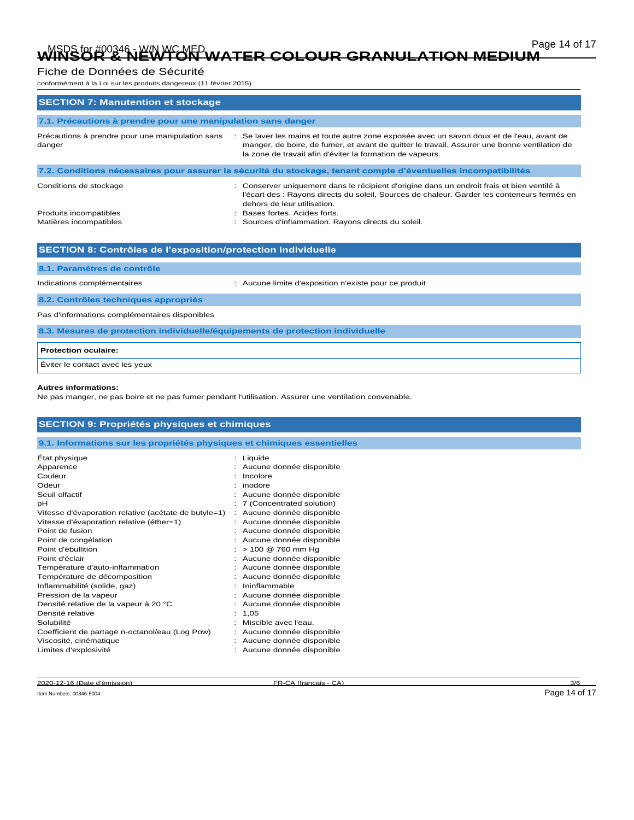# Page 14 of 17 Page 14 of 17 Marchen Colour Granulation Medium

# Fiche de Données de Sécurité

conformément à la Loi sur les produits dangereux (11 février 2015)

| <b>SECTION 7: Manutention et stockage</b>                                                                      |                                                                                                                                                                                                                                                        |  |
|----------------------------------------------------------------------------------------------------------------|--------------------------------------------------------------------------------------------------------------------------------------------------------------------------------------------------------------------------------------------------------|--|
| 7.1. Précautions à prendre pour une manipulation sans danger                                                   |                                                                                                                                                                                                                                                        |  |
| Précautions à prendre pour une manipulation sans<br>danger                                                     | : Se laver les mains et toute autre zone exposée avec un savon doux et de l'eau, avant de<br>manger, de boire, de fumer, et avant de quitter le travail. Assurer une bonne ventilation de<br>la zone de travail afin d'éviter la formation de vapeurs. |  |
| 7.2. Conditions nécessaires pour assurer la sécurité du stockage, tenant compte d'éventuelles incompatibilités |                                                                                                                                                                                                                                                        |  |
| Conditions de stockage                                                                                         | : Conserver uniquement dans le récipient d'origine dans un endroit frais et bien ventilé à<br>l'écart des : Rayons directs du soleil, Sources de chaleur. Garder les conteneurs fermés en<br>dehors de leur utilisation.                               |  |
| Produits incompatibles                                                                                         | : Bases fortes, Acides forts.                                                                                                                                                                                                                          |  |
| Matières incompatibles                                                                                         | : Sources d'inflammation. Rayons directs du soleil.                                                                                                                                                                                                    |  |
|                                                                                                                |                                                                                                                                                                                                                                                        |  |
| SECTION 8: Contrôles de l'exposition/protection individuelle                                                   |                                                                                                                                                                                                                                                        |  |

**8.1. Paramètres de contrôle**

Indications complémentaires : Aucune limite d'exposition n'existe pour ce produit

**8.2. Contrôles techniques appropriés**

Pas d'informations complémentaires disponibles

**8.3. Mesures de protection individuelle/équipements de protection individuelle**

| <b>Protection oculaire:</b>     |  |
|---------------------------------|--|
| Éviter le contact avec les yeux |  |

#### **Autres informations:**

Ne pas manger, ne pas boire et ne pas fumer pendant l'utilisation. Assurer une ventilation convenable.

| <b>SECTION 9: Propriétés physiques et chimiques</b>                      |                             |  |
|--------------------------------------------------------------------------|-----------------------------|--|
| 9.1. Informations sur les propriétés physiques et chimiques essentielles |                             |  |
| Etat physique                                                            | : Liquide                   |  |
| Apparence                                                                | : Aucune donnée disponible  |  |
| Couleur                                                                  | Incolore                    |  |
| Odeur                                                                    | inodore                     |  |
| Seuil olfactif                                                           | Aucune donnée disponible    |  |
| рH                                                                       | : 7 (Concentrated solution) |  |
| Vitesse d'évaporation relative (acétate de butyle=1)                     | : Aucune donnée disponible  |  |
| Vitesse d'évaporation relative (éther=1)                                 | : Aucune donnée disponible  |  |
| Point de fusion                                                          | : Aucune donnée disponible  |  |
| Point de congélation                                                     | : Aucune donnée disponible  |  |
| Point d'ébullition                                                       | > 100 @ 760 mm Hg           |  |
| Point d'éclair                                                           | : Aucune donnée disponible  |  |
| Température d'auto-inflammation                                          | : Aucune donnée disponible  |  |
| Température de décomposition                                             | Aucune donnée disponible    |  |
| Inflammabilité (solide, gaz)                                             | Ininflammable               |  |
| Pression de la vapeur                                                    | Aucune donnée disponible    |  |
| Densité relative de la vapeur à 20 °C                                    | Aucune donnée disponible    |  |
| Densité relative                                                         | 1,05                        |  |
| Solubilité                                                               | Miscible avec l'eau.        |  |
| Coefficient de partage n-octanol/eau (Log Pow)                           | Aucune donnée disponible    |  |
| Viscosité, cinématique                                                   | Aucune donnée disponible    |  |
| Limites d'explosivité                                                    | Aucune donnée disponible    |  |

2020-12-16 (Date d'émission) FR-CA (français - CA)

Item Numbers: 00346-5004 Page 14 of 17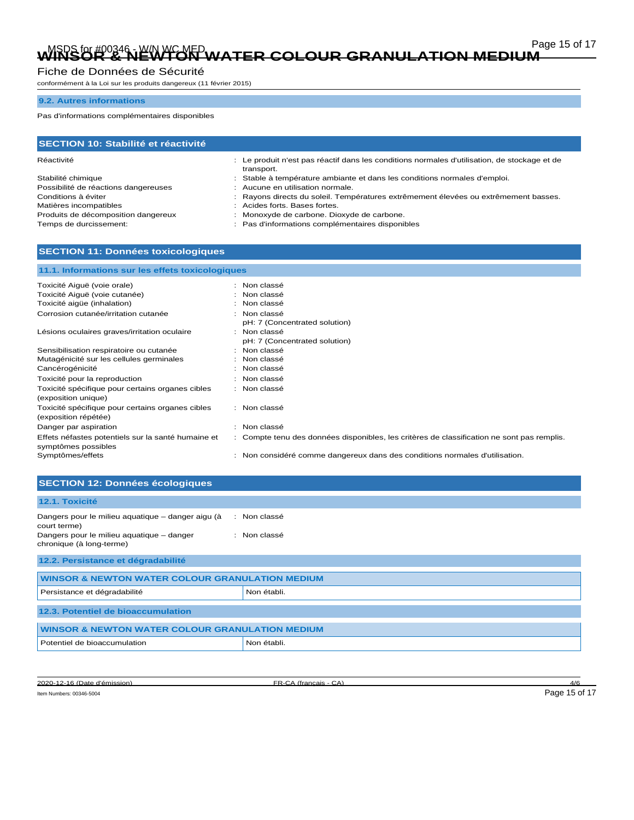# Page 15 of 17 Page 15 of 17<br>WINSOR & NEWTON WATER COLOUR GRANULATION MEDIUM

### Fiche de Données de Sécurité

conformément à la Loi sur les produits dangereux (11 février 2015)

### **9.2. Autres informations**

Pas d'informations complémentaires disponibles

| <b>SECTION 10: Stabilité et réactivité</b> |                                                                                                            |  |
|--------------------------------------------|------------------------------------------------------------------------------------------------------------|--|
| Réactivité                                 | : Le produit n'est pas réactif dans les conditions normales d'utilisation, de stockage et de<br>transport. |  |
| Stabilité chimique                         | : Stable à température ambiante et dans les conditions normales d'emploi.                                  |  |
| Possibilité de réactions dangereuses       | : Aucune en utilisation normale.                                                                           |  |
| Conditions à éviter                        | Rayons directs du soleil. Températures extrêmement élevées ou extrêmement basses.                          |  |
| Matières incompatibles                     | Acides forts. Bases fortes.                                                                                |  |
| Produits de décomposition dangereux        | Monoxyde de carbone. Dioxyde de carbone.                                                                   |  |
| Temps de durcissement:                     | Pas d'informations complémentaires disponibles                                                             |  |

## **SECTION 11: Données toxicologiques**

| 11.1. Informations sur les effets toxicologiques   |                                                                                            |  |
|----------------------------------------------------|--------------------------------------------------------------------------------------------|--|
|                                                    |                                                                                            |  |
| Toxicité Aiguë (voie orale)                        | : Non classé                                                                               |  |
| Toxicité Aiguë (voie cutanée)                      | : Non classé                                                                               |  |
| Toxicité aigüe (inhalation)                        | : Non classé                                                                               |  |
| Corrosion cutanée/irritation cutanée               | : Non classé                                                                               |  |
|                                                    | pH: 7 (Concentrated solution)                                                              |  |
| Lésions oculaires graves/irritation oculaire       | : Non classé                                                                               |  |
|                                                    | pH: 7 (Concentrated solution)                                                              |  |
| Sensibilisation respiratoire ou cutanée            | : Non classé                                                                               |  |
| Mutagénicité sur les cellules germinales           | : Non classé                                                                               |  |
| Cancérogénicité                                    | : Non classé                                                                               |  |
| Toxicité pour la reproduction                      | : Non classé                                                                               |  |
| Toxicité spécifique pour certains organes cibles   | : Non classé                                                                               |  |
| (exposition unique)                                |                                                                                            |  |
| Toxicité spécifique pour certains organes cibles   | : Non classé                                                                               |  |
| (exposition répétée)                               |                                                                                            |  |
| Danger par aspiration                              | : Non classé                                                                               |  |
| Effets néfastes potentiels sur la santé humaine et | : Compte tenu des données disponibles, les critères de classification ne sont pas remplis. |  |
| symptômes possibles                                |                                                                                            |  |
| Symptômes/effets                                   | : Non considéré comme dangereux dans des conditions normales d'utilisation.                |  |

# **SECTION 12: Données écologiques**

| 12.1. Toxicité                                                        |              |  |
|-----------------------------------------------------------------------|--------------|--|
| Dangers pour le milieu aquatique - danger aigu (à<br>court terme)     | : Non classé |  |
| Dangers pour le milieu aquatique - danger<br>chronique (à long-terme) | : Non classé |  |
| 12.2. Persistance et dégradabilité                                    |              |  |
| <b>WINSOR &amp; NEWTON WATER COLOUR GRANULATION MEDIUM</b>            |              |  |
| Persistance et dégradabilité                                          | Non établi.  |  |
| 12.3. Potentiel de bioaccumulation                                    |              |  |
| <b>WINSOR &amp; NEWTON WATER COLOUR GRANULATION MEDIUM</b>            |              |  |
| Potentiel de bioaccumulation                                          | Non établi.  |  |
|                                                                       |              |  |

2020-12-16 (Date d'émission) FR-CA (français - CA) 4/6 Item Numbers: 00346-5004 Page 15 of 17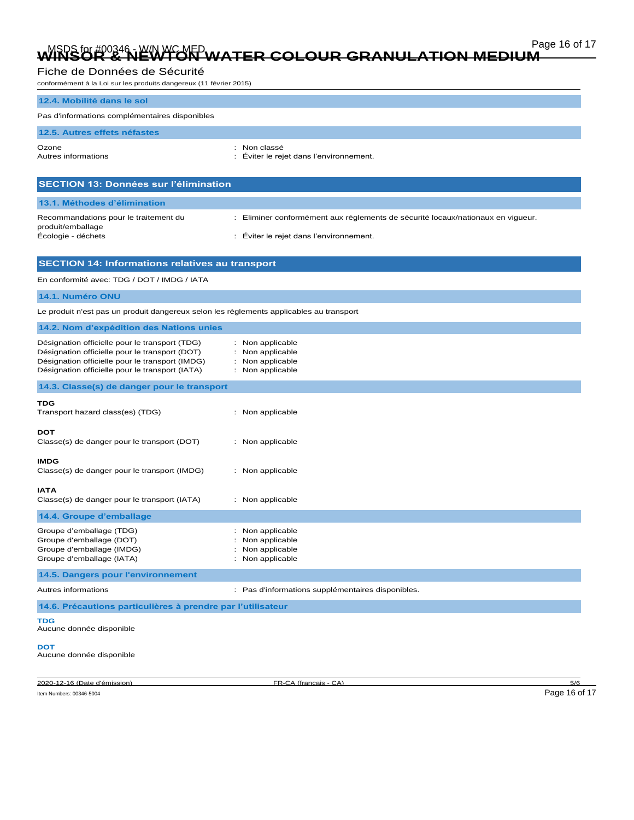# Page 16 of 17 Page 16 of 17 Marchen Colour Granulation Medium

# Fiche de Données de Sécurité

conformément à la Loi sur les produits dangereux (11 février 2015)

| Item Numbers: 00346-5004                                                                                                                                                                               | Page 16 of 17                                                                   |  |
|--------------------------------------------------------------------------------------------------------------------------------------------------------------------------------------------------------|---------------------------------------------------------------------------------|--|
| 2020-12-16 (Date d'émission)                                                                                                                                                                           | 5/6<br>FR-CA (francais - CA)                                                    |  |
| <b>DOT</b><br>Aucune donnée disponible                                                                                                                                                                 |                                                                                 |  |
| TDG<br>Aucune donnée disponible                                                                                                                                                                        |                                                                                 |  |
| 14.6. Précautions particulières à prendre par l'utilisateur                                                                                                                                            |                                                                                 |  |
| Autres informations                                                                                                                                                                                    | : Pas d'informations supplémentaires disponibles.                               |  |
| 14.5. Dangers pour l'environnement                                                                                                                                                                     |                                                                                 |  |
| Groupe d'emballage (IMDG)<br>Groupe d'emballage (IATA)                                                                                                                                                 | Non applicable<br>: Non applicable                                              |  |
| Groupe d'emballage (DOT)                                                                                                                                                                               | Non applicable                                                                  |  |
| Groupe d'emballage (TDG)                                                                                                                                                                               | Non applicable                                                                  |  |
| 14.4. Groupe d'emballage                                                                                                                                                                               |                                                                                 |  |
| <b>IATA</b><br>Classe(s) de danger pour le transport (IATA)                                                                                                                                            | : Non applicable                                                                |  |
| <b>IMDG</b><br>Classe(s) de danger pour le transport (IMDG)                                                                                                                                            | : Non applicable                                                                |  |
| DOT<br>Classe(s) de danger pour le transport (DOT)                                                                                                                                                     | : Non applicable                                                                |  |
| TDG<br>Transport hazard class(es) (TDG)                                                                                                                                                                | : Non applicable                                                                |  |
| 14.3. Classe(s) de danger pour le transport                                                                                                                                                            |                                                                                 |  |
| Désignation officielle pour le transport (TDG)<br>Désignation officielle pour le transport (DOT)<br>Désignation officielle pour le transport (IMDG)<br>Désignation officielle pour le transport (IATA) | : Non applicable<br>: Non applicable<br>: Non applicable<br>: Non applicable    |  |
| 14.2. Nom d'expédition des Nations unies                                                                                                                                                               |                                                                                 |  |
| Le produit n'est pas un produit dangereux selon les règlements applicables au transport                                                                                                                |                                                                                 |  |
| 14.1. Numéro ONU                                                                                                                                                                                       |                                                                                 |  |
| En conformité avec: TDG / DOT / IMDG / IATA                                                                                                                                                            |                                                                                 |  |
| <b>SECTION 14: Informations relatives au transport</b>                                                                                                                                                 |                                                                                 |  |
| Écologie - déchets                                                                                                                                                                                     | Éviter le rejet dans l'environnement.                                           |  |
| Recommandations pour le traitement du<br>produit/emballage                                                                                                                                             | : Eliminer conformément aux règlements de sécurité locaux/nationaux en vigueur. |  |
| 13.1. Méthodes d'élimination                                                                                                                                                                           |                                                                                 |  |
| <b>SECTION 13: Données sur l'élimination</b>                                                                                                                                                           |                                                                                 |  |
| Ozone<br>Autres informations                                                                                                                                                                           | : Non classé<br>: Éviter le rejet dans l'environnement.                         |  |
| 12.5. Autres effets néfastes                                                                                                                                                                           |                                                                                 |  |
| Pas d'informations complémentaires disponibles                                                                                                                                                         |                                                                                 |  |
| 12.4. Mobilité dans le sol                                                                                                                                                                             |                                                                                 |  |
|                                                                                                                                                                                                        |                                                                                 |  |